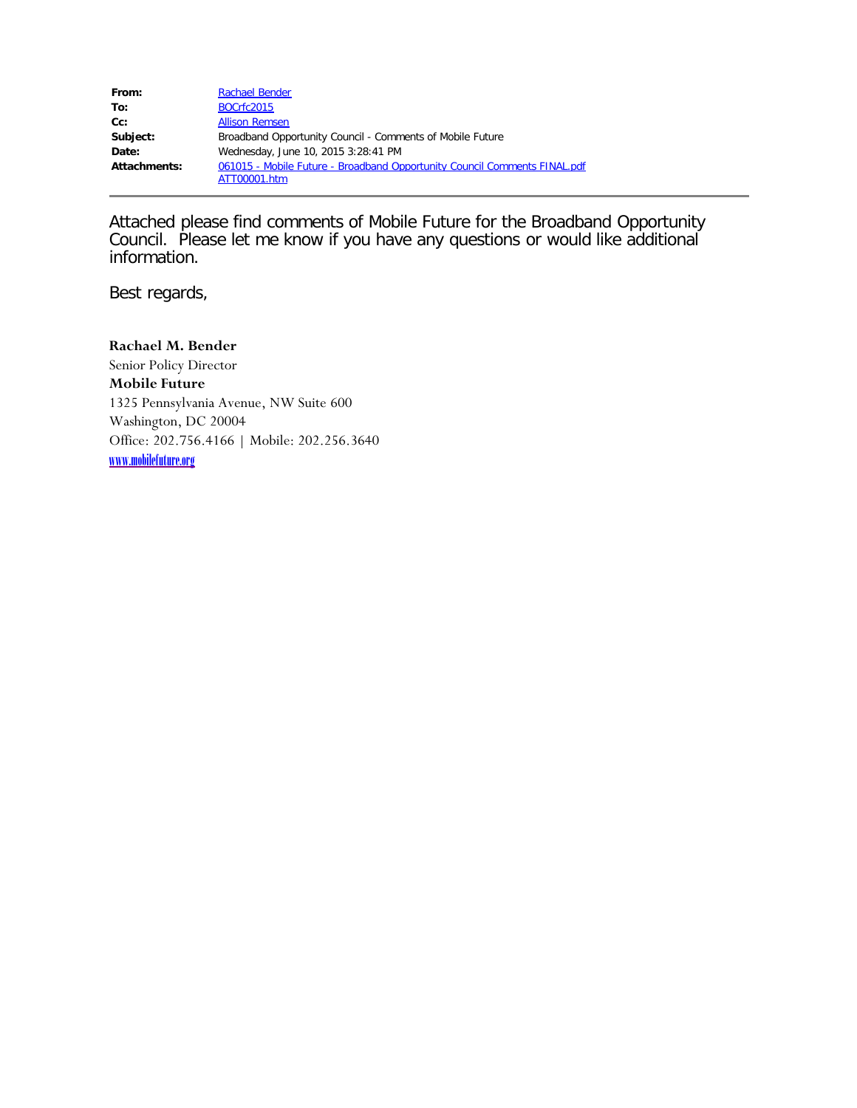| From:        | <b>Rachael Bender</b>                                                                     |
|--------------|-------------------------------------------------------------------------------------------|
| To:          | BOCrfc2015                                                                                |
| $Cc$ :       | <b>Allison Remsen</b>                                                                     |
| Subject:     | Broadband Opportunity Council - Comments of Mobile Future                                 |
| Date:        | Wednesday, June 10, 2015 3:28:41 PM                                                       |
| Attachments: | 061015 - Mobile Future - Broadband Opportunity Council Comments FINAL.pdf<br>ATT00001.htm |

Attached please find comments of Mobile Future for the Broadband Opportunity Council. Please let me know if you have any questions or would like additional information.

Best regards,

**Rachael M. Bender** Senior Policy Director **Mobile Future** 1325 Pennsylvania Avenue, NW Suite 600 Washington, DC 20004 Office: 202.756.4166 | Mobile: 202.256.3640 [www.mobilefuture.org](http://www.mobilefuture.org/)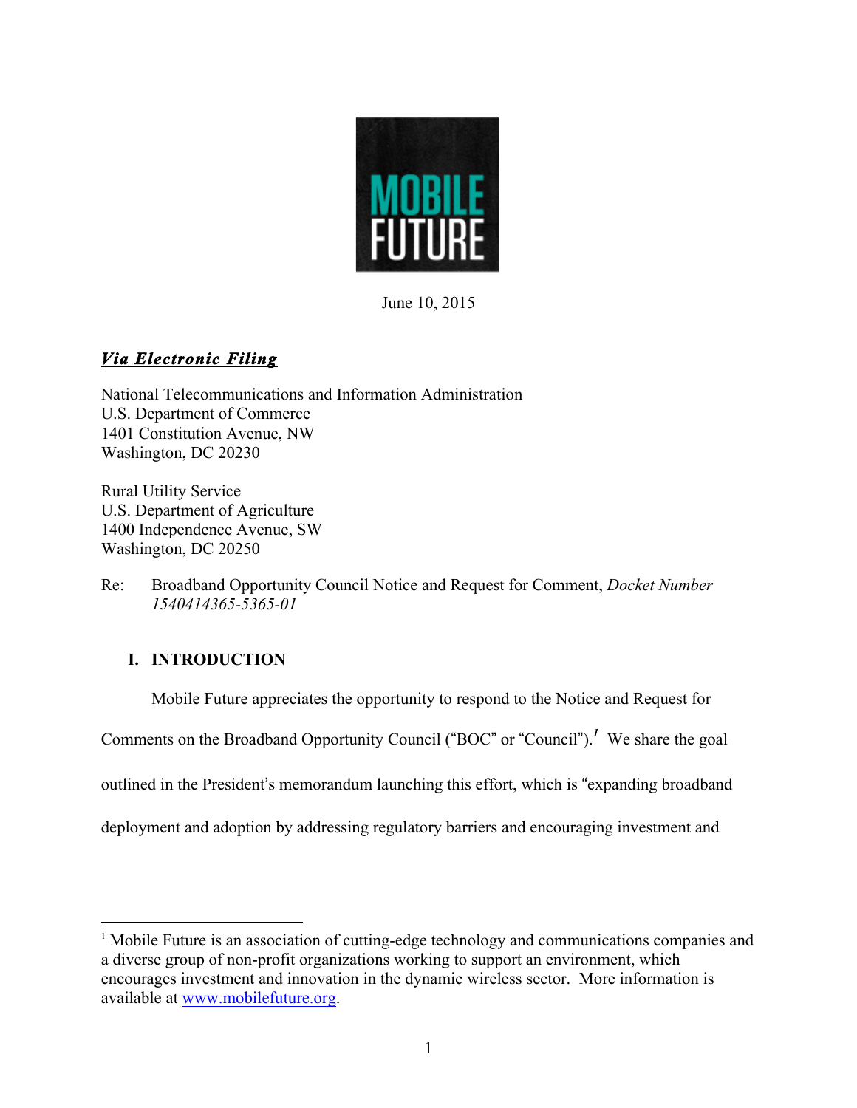

June 10, 2015

# *Via Electronic Filing*

National Telecommunications and Information Administration U.S. Department of Commerce 1401 Constitution Avenue, NW Washington, DC 20230

Rural Utility Service U.S. Department of Agriculture 1400 Independence Avenue, SW Washington, DC 20250

Re: Broadband Opportunity Council Notice and Request for Comment, *Docket Number 1540414365-5365-01*

## **I. INTRODUCTION**

Mobile Future appreciates the opportunity to respond to the Notice and Request for

Comments on the Broadband Opportunity Council ("BOC" or "Council").*<sup>1</sup>* We share the goal

outlined in the President's memorandum launching this effort, which is "expanding broadband

deployment and adoption by addressing regulatory barriers and encouraging investment and

<sup>&</sup>lt;sup>1</sup> Mobile Future is an association of cutting-edge technology and communications companies and a diverse group of non-profit organizations working to support an environment, which encourages investment and innovation in the dynamic wireless sector. More information is available at www.mobilefuture.org.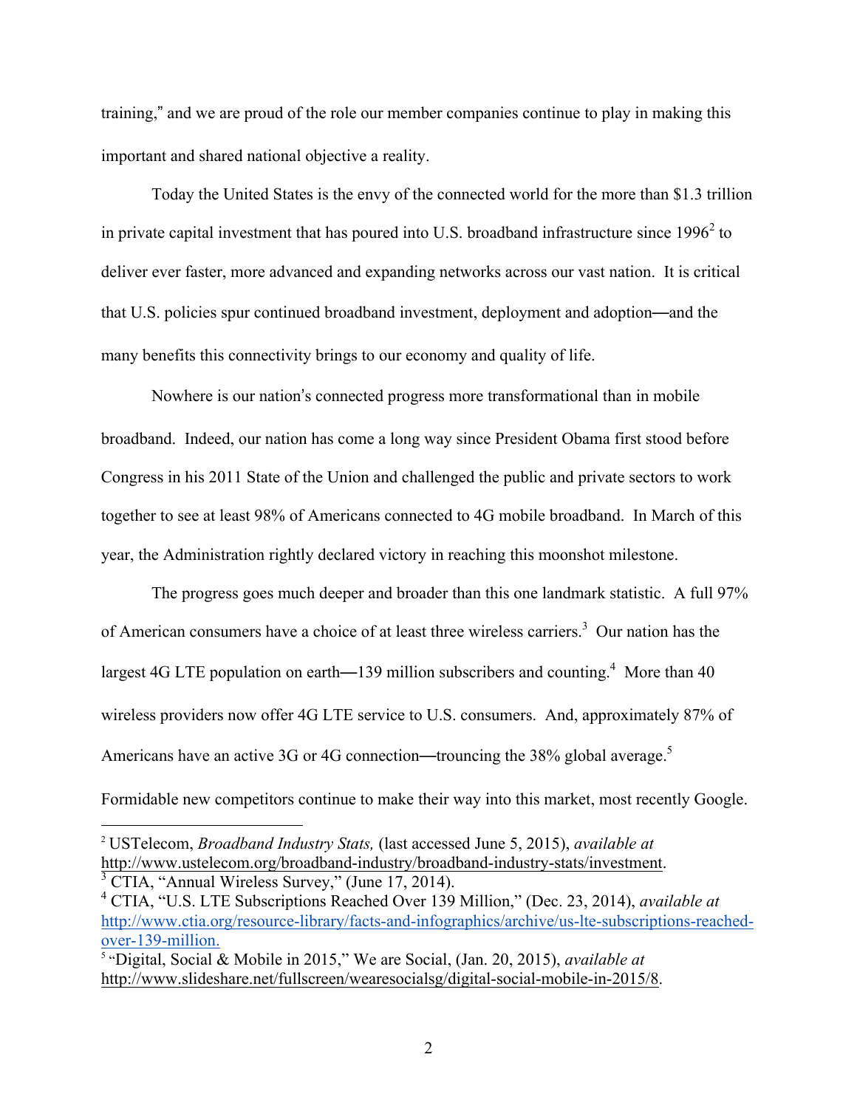training," and we are proud of the role our member companies continue to play in making this important and shared national objective a reality.

Today the United States is the envy of the connected world for the more than \$1.3 trillion in private capital investment that has poured into U.S. broadband infrastructure since  $1996<sup>2</sup>$  to deliver ever faster, more advanced and expanding networks across our vast nation. It is critical that U.S. policies spur continued broadband investment, deployment and adoption—and the many benefits this connectivity brings to our economy and quality of life.

Nowhere is our nation's connected progress more transformational than in mobile broadband. Indeed, our nation has come a long way since President Obama first stood before Congress in his 2011 State of the Union and challenged the public and private sectors to work together to see at least 98% of Americans connected to 4G mobile broadband. In March of this year, the Administration rightly declared victory in reaching this moonshot milestone.

The progress goes much deeper and broader than this one landmark statistic. A full 97% of American consumers have a choice of at least three wireless carriers.<sup>3</sup> Our nation has the largest 4G LTE population on earth—139 million subscribers and counting.<sup>4</sup> More than 40 wireless providers now offer 4G LTE service to U.S. consumers. And, approximately 87% of Americans have an active 3G or 4G connection—trouncing the 38% global average.<sup>5</sup> Formidable new competitors continue to make their way into this market, most recently Google.

 <sup>2</sup> USTelecom, *Broadband Industry Stats,* (last accessed June 5, 2015), *available at* http://www.ustelecom.org/broadband-industry/broadband-industry-stats/investment.<br><sup>3</sup> CTIA, "Annual Wireless Survey," (June 17, 2014).

<sup>4</sup> CTIA, "U.S. LTE Subscriptions Reached Over 139 Million," (Dec. 23, 2014), *available at* http://www.ctia.org/resource-library/facts-and-infographics/archive/us-lte-subscriptions-reachedover-139-million.

<sup>5</sup> "Digital, Social & Mobile in 2015," We are Social, (Jan. 20, 2015), *available at* http://www.slideshare.net/fullscreen/wearesocialsg/digital-social-mobile-in-2015/8.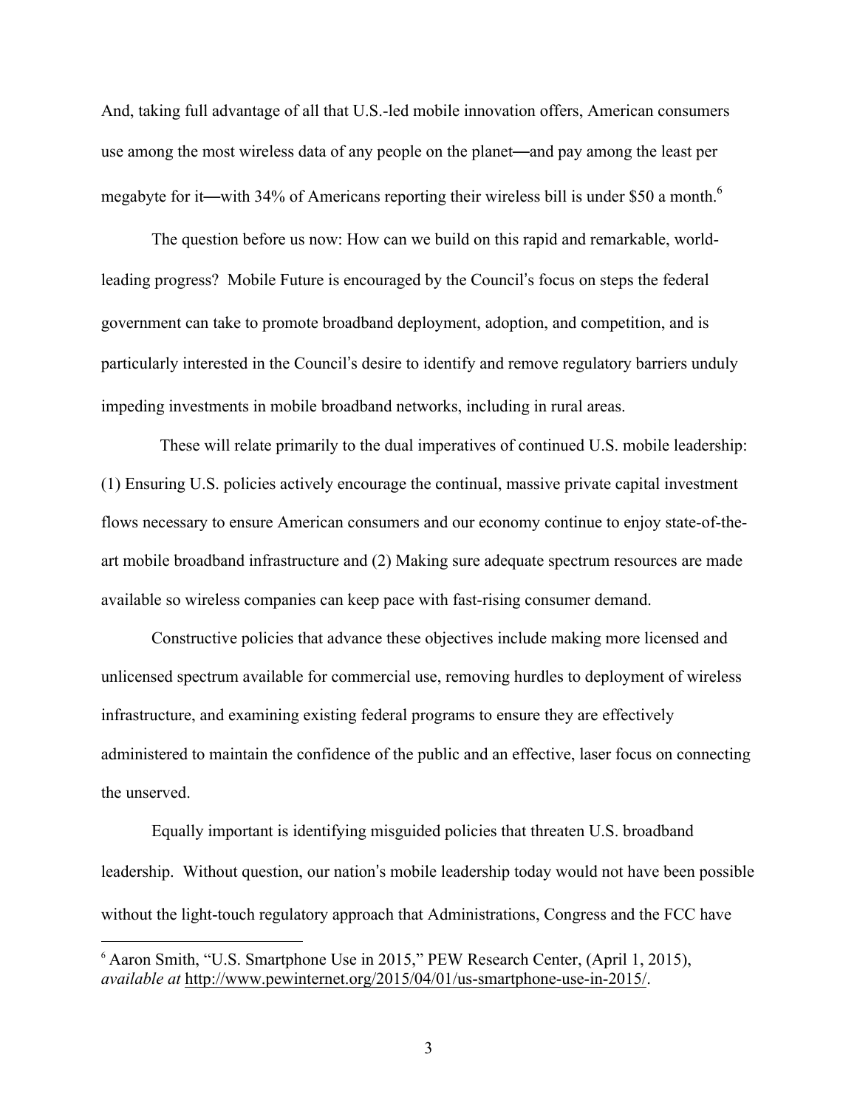And, taking full advantage of all that U.S.-led mobile innovation offers, American consumers use among the most wireless data of any people on the planet—and pay among the least per megabyte for it—with 34% of Americans reporting their wireless bill is under \$50 a month.<sup>6</sup>

The question before us now: How can we build on this rapid and remarkable, worldleading progress? Mobile Future is encouraged by the Council's focus on steps the federal government can take to promote broadband deployment, adoption, and competition, and is particularly interested in the Council's desire to identify and remove regulatory barriers unduly impeding investments in mobile broadband networks, including in rural areas.

 These will relate primarily to the dual imperatives of continued U.S. mobile leadership: (1) Ensuring U.S. policies actively encourage the continual, massive private capital investment flows necessary to ensure American consumers and our economy continue to enjoy state-of-theart mobile broadband infrastructure and (2) Making sure adequate spectrum resources are made available so wireless companies can keep pace with fast-rising consumer demand.

Constructive policies that advance these objectives include making more licensed and unlicensed spectrum available for commercial use, removing hurdles to deployment of wireless infrastructure, and examining existing federal programs to ensure they are effectively administered to maintain the confidence of the public and an effective, laser focus on connecting the unserved.

Equally important is identifying misguided policies that threaten U.S. broadband leadership. Without question, our nation's mobile leadership today would not have been possible without the light-touch regulatory approach that Administrations, Congress and the FCC have

 <sup>6</sup> Aaron Smith, "U.S. Smartphone Use in 2015," PEW Research Center, (April 1, 2015), *available at* http://www.pewinternet.org/2015/04/01/us-smartphone-use-in-2015/.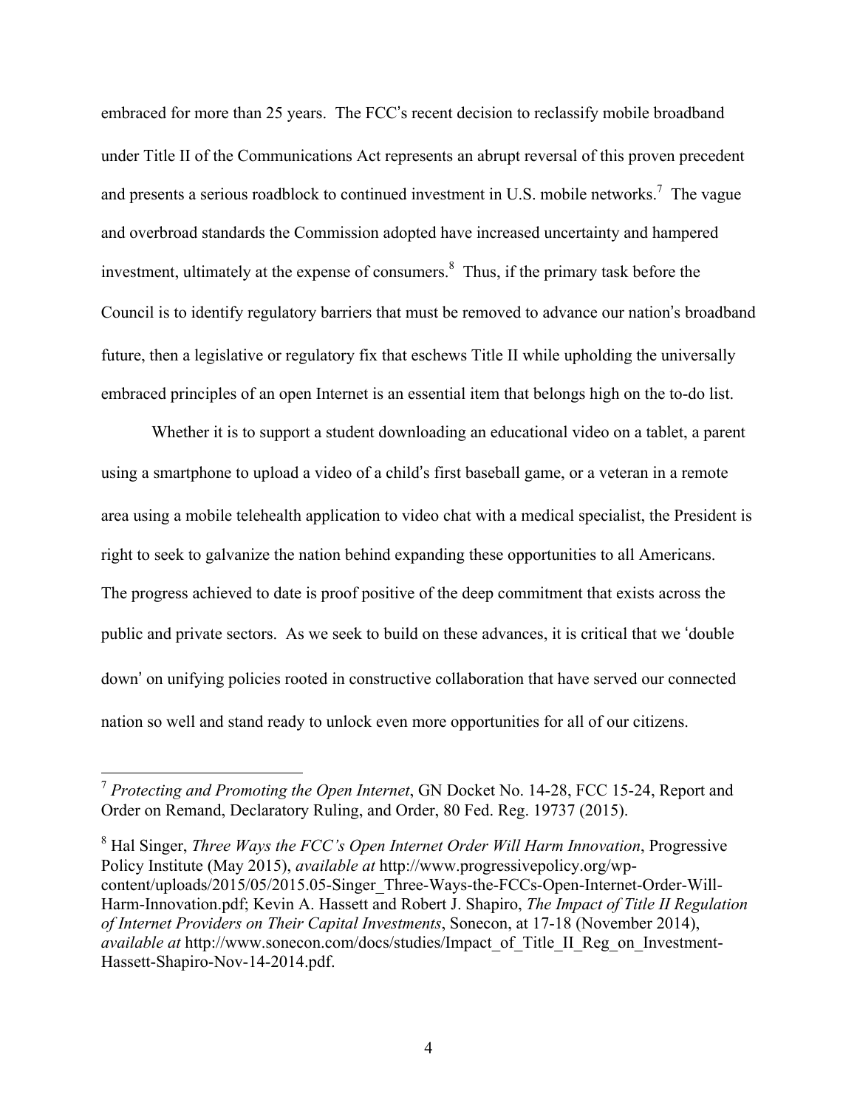embraced for more than 25 years. The FCC's recent decision to reclassify mobile broadband under Title II of the Communications Act represents an abrupt reversal of this proven precedent and presents a serious roadblock to continued investment in U.S. mobile networks.<sup>7</sup> The vague and overbroad standards the Commission adopted have increased uncertainty and hampered investment, ultimately at the expense of consumers.<sup>8</sup> Thus, if the primary task before the Council is to identify regulatory barriers that must be removed to advance our nation's broadband future, then a legislative or regulatory fix that eschews Title II while upholding the universally embraced principles of an open Internet is an essential item that belongs high on the to-do list.

Whether it is to support a student downloading an educational video on a tablet, a parent using a smartphone to upload a video of a child's first baseball game, or a veteran in a remote area using a mobile telehealth application to video chat with a medical specialist, the President is right to seek to galvanize the nation behind expanding these opportunities to all Americans. The progress achieved to date is proof positive of the deep commitment that exists across the public and private sectors. As we seek to build on these advances, it is critical that we 'double down' on unifying policies rooted in constructive collaboration that have served our connected nation so well and stand ready to unlock even more opportunities for all of our citizens.

 <sup>7</sup> *Protecting and Promoting the Open Internet*, GN Docket No. 14-28, FCC 15-24, Report and Order on Remand, Declaratory Ruling, and Order, 80 Fed. Reg. 19737 (2015).

<sup>8</sup> Hal Singer, *Three Ways the FCC's Open Internet Order Will Harm Innovation*, Progressive Policy Institute (May 2015), *available at* http://www.progressivepolicy.org/wpcontent/uploads/2015/05/2015.05-Singer\_Three-Ways-the-FCCs-Open-Internet-Order-Will-Harm-Innovation.pdf; Kevin A. Hassett and Robert J. Shapiro, *The Impact of Title II Regulation of Internet Providers on Their Capital Investments*, Sonecon, at 17-18 (November 2014), *available at* http://www.sonecon.com/docs/studies/Impact\_of\_Title\_II\_Reg\_on\_Investment-Hassett-Shapiro-Nov-14-2014.pdf.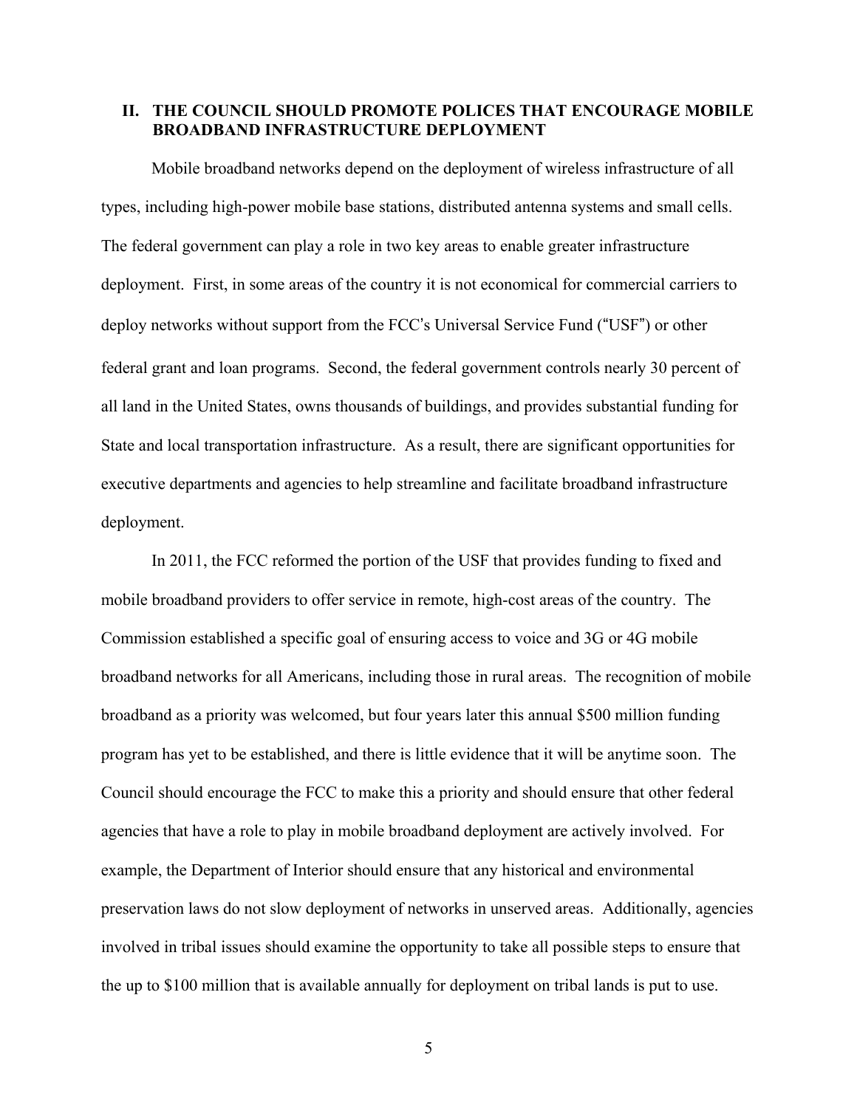#### **II. THE COUNCIL SHOULD PROMOTE POLICES THAT ENCOURAGE MOBILE BROADBAND INFRASTRUCTURE DEPLOYMENT**

Mobile broadband networks depend on the deployment of wireless infrastructure of all types, including high-power mobile base stations, distributed antenna systems and small cells. The federal government can play a role in two key areas to enable greater infrastructure deployment. First, in some areas of the country it is not economical for commercial carriers to deploy networks without support from the FCC's Universal Service Fund ("USF") or other federal grant and loan programs. Second, the federal government controls nearly 30 percent of all land in the United States, owns thousands of buildings, and provides substantial funding for State and local transportation infrastructure. As a result, there are significant opportunities for executive departments and agencies to help streamline and facilitate broadband infrastructure deployment.

In 2011, the FCC reformed the portion of the USF that provides funding to fixed and mobile broadband providers to offer service in remote, high-cost areas of the country. The Commission established a specific goal of ensuring access to voice and 3G or 4G mobile broadband networks for all Americans, including those in rural areas. The recognition of mobile broadband as a priority was welcomed, but four years later this annual \$500 million funding program has yet to be established, and there is little evidence that it will be anytime soon. The Council should encourage the FCC to make this a priority and should ensure that other federal agencies that have a role to play in mobile broadband deployment are actively involved. For example, the Department of Interior should ensure that any historical and environmental preservation laws do not slow deployment of networks in unserved areas. Additionally, agencies involved in tribal issues should examine the opportunity to take all possible steps to ensure that the up to \$100 million that is available annually for deployment on tribal lands is put to use.

5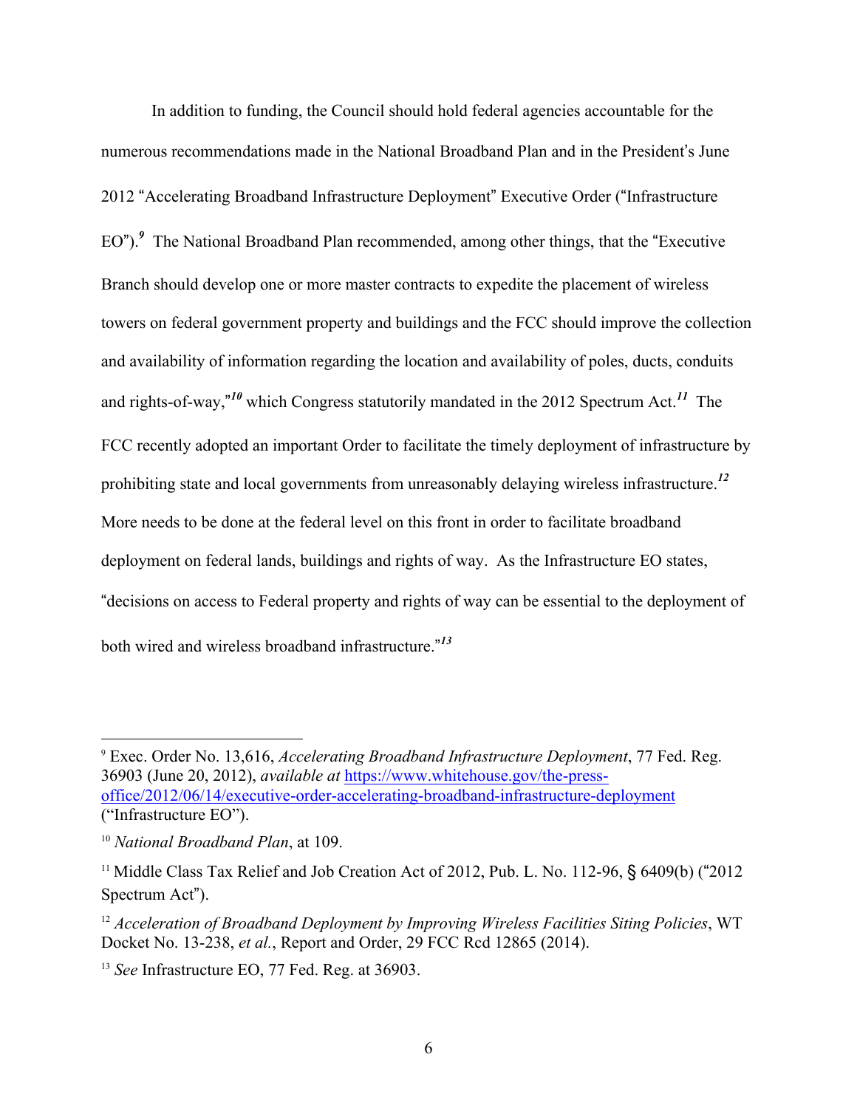In addition to funding, the Council should hold federal agencies accountable for the numerous recommendations made in the National Broadband Plan and in the President's June 2012 "Accelerating Broadband Infrastructure Deployment" Executive Order ("Infrastructure EO").<sup>9</sup> The National Broadband Plan recommended, among other things, that the "Executive" Branch should develop one or more master contracts to expedite the placement of wireless towers on federal government property and buildings and the FCC should improve the collection and availability of information regarding the location and availability of poles, ducts, conduits and rights-of-way," *<sup>10</sup>* which Congress statutorily mandated in the 2012 Spectrum Act.*<sup>11</sup>* The FCC recently adopted an important Order to facilitate the timely deployment of infrastructure by prohibiting state and local governments from unreasonably delaying wireless infrastructure.*<sup>12</sup>* More needs to be done at the federal level on this front in order to facilitate broadband deployment on federal lands, buildings and rights of way. As the Infrastructure EO states, "decisions on access to Federal property and rights of way can be essential to the deployment of both wired and wireless broadband infrastructure." *13*

 <sup>9</sup> Exec. Order No. 13,616, *Accelerating Broadband Infrastructure Deployment*, <sup>77</sup> Fed. Reg. 36903 (June 20, 2012), *available at* https://www.whitehouse.gov/the-pressoffice/2012/06/14/executive-order-accelerating-broadband-infrastructure-deployment ("Infrastructure EO").

<sup>10</sup> *National Broadband Plan*, at 109.

<sup>&</sup>lt;sup>11</sup> Middle Class Tax Relief and Job Creation Act of 2012, Pub. L. No. 112-96, § 6409(b) ("2012 Spectrum Act").

<sup>12</sup> *Acceleration of Broadband Deployment by Improving Wireless Facilities Siting Policies*, WT Docket No. 13-238, *et al.*, Report and Order, 29 FCC Rcd 12865 (2014).

<sup>13</sup> *See* Infrastructure EO, 77 Fed. Reg. at 36903.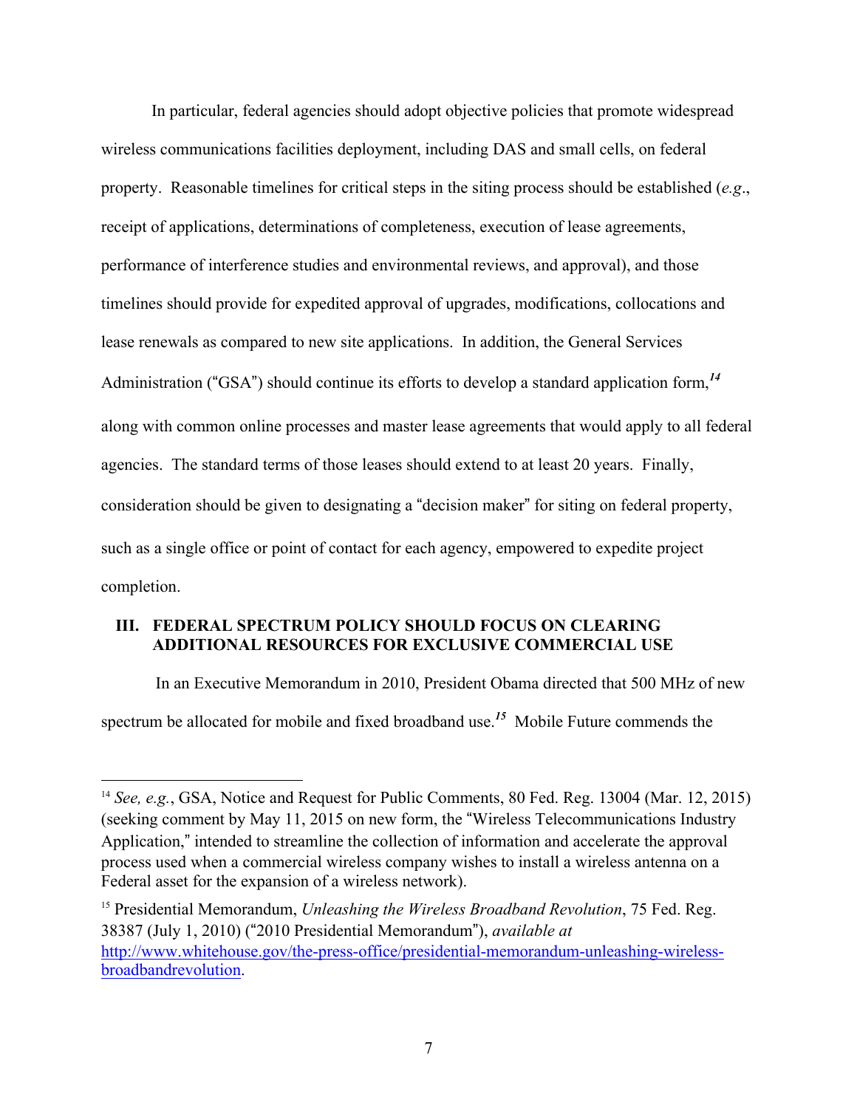In particular, federal agencies should adopt objective policies that promote widespread wireless communications facilities deployment, including DAS and small cells, on federal property. Reasonable timelines for critical steps in the siting process should be established (*e.g*., receipt of applications, determinations of completeness, execution of lease agreements, performance of interference studies and environmental reviews, and approval), and those timelines should provide for expedited approval of upgrades, modifications, collocations and lease renewals as compared to new site applications. In addition, the General Services Administration ("GSA") should continue its efforts to develop a standard application form,*<sup>14</sup>* along with common online processes and master lease agreements that would apply to all federal agencies. The standard terms of those leases should extend to at least 20 years. Finally, consideration should be given to designating a "decision maker" for siting on federal property, such as a single office or point of contact for each agency, empowered to expedite project completion.

## **III. FEDERAL SPECTRUM POLICY SHOULD FOCUS ON CLEARING ADDITIONAL RESOURCES FOR EXCLUSIVE COMMERCIAL USE**

In an Executive Memorandum in 2010, President Obama directed that 500 MHz of new spectrum be allocated for mobile and fixed broadband use.*<sup>15</sup>* Mobile Future commends the

<sup>15</sup> Presidential Memorandum, *Unleashing the Wireless Broadband Revolution*, 75 Fed. Reg. 38387 (July 1, 2010) ("2010 Presidential Memorandum"), *available at* http://www.whitehouse.gov/the-press-office/presidential-memorandum-unleashing-wirelessbroadbandrevolution.

 <sup>14</sup> *See, e.g.*, GSA, Notice and Request for Public Comments, <sup>80</sup> Fed. Reg. <sup>13004</sup> (Mar. 12, 2015) (seeking comment by May 11, 2015 on new form, the "Wireless Telecommunications Industry Application," intended to streamline the collection of information and accelerate the approval process used when a commercial wireless company wishes to install a wireless antenna on a Federal asset for the expansion of a wireless network).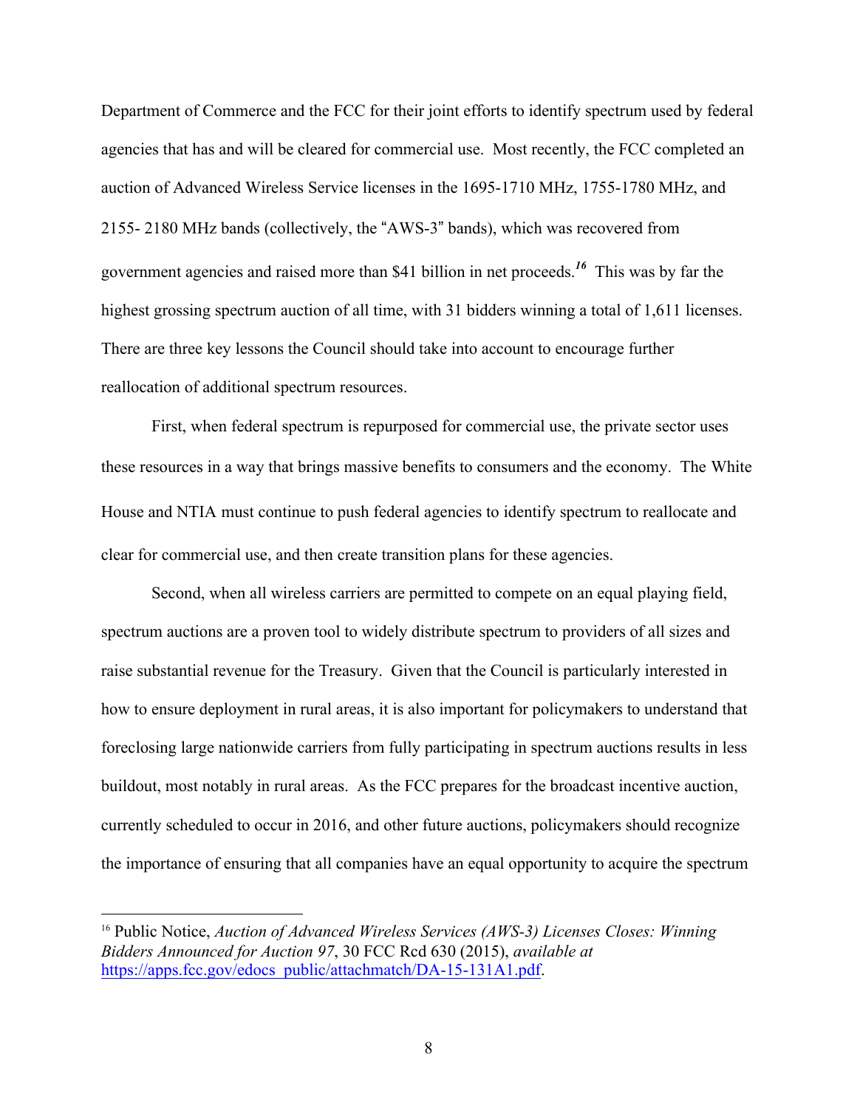Department of Commerce and the FCC for their joint efforts to identify spectrum used by federal agencies that has and will be cleared for commercial use. Most recently, the FCC completed an auction of Advanced Wireless Service licenses in the 1695-1710 MHz, 1755-1780 MHz, and 2155- 2180 MHz bands (collectively, the "AWS-3" bands), which was recovered from government agencies and raised more than \$41 billion in net proceeds.*<sup>16</sup>* This was by far the highest grossing spectrum auction of all time, with 31 bidders winning a total of 1,611 licenses. There are three key lessons the Council should take into account to encourage further reallocation of additional spectrum resources.

First, when federal spectrum is repurposed for commercial use, the private sector uses these resources in a way that brings massive benefits to consumers and the economy. The White House and NTIA must continue to push federal agencies to identify spectrum to reallocate and clear for commercial use, and then create transition plans for these agencies.

Second, when all wireless carriers are permitted to compete on an equal playing field, spectrum auctions are a proven tool to widely distribute spectrum to providers of all sizes and raise substantial revenue for the Treasury. Given that the Council is particularly interested in how to ensure deployment in rural areas, it is also important for policymakers to understand that foreclosing large nationwide carriers from fully participating in spectrum auctions results in less buildout, most notably in rural areas. As the FCC prepares for the broadcast incentive auction, currently scheduled to occur in 2016, and other future auctions, policymakers should recognize the importance of ensuring that all companies have an equal opportunity to acquire the spectrum

 <sup>16</sup> Public Notice, *Auction of Advanced Wireless Services (AWS-3) Licenses Closes: Winning Bidders Announced for Auction 97*, 30 FCC Rcd 630 (2015), *available at* https://apps.fcc.gov/edocs\_public/attachmatch/DA-15-131A1.pdf.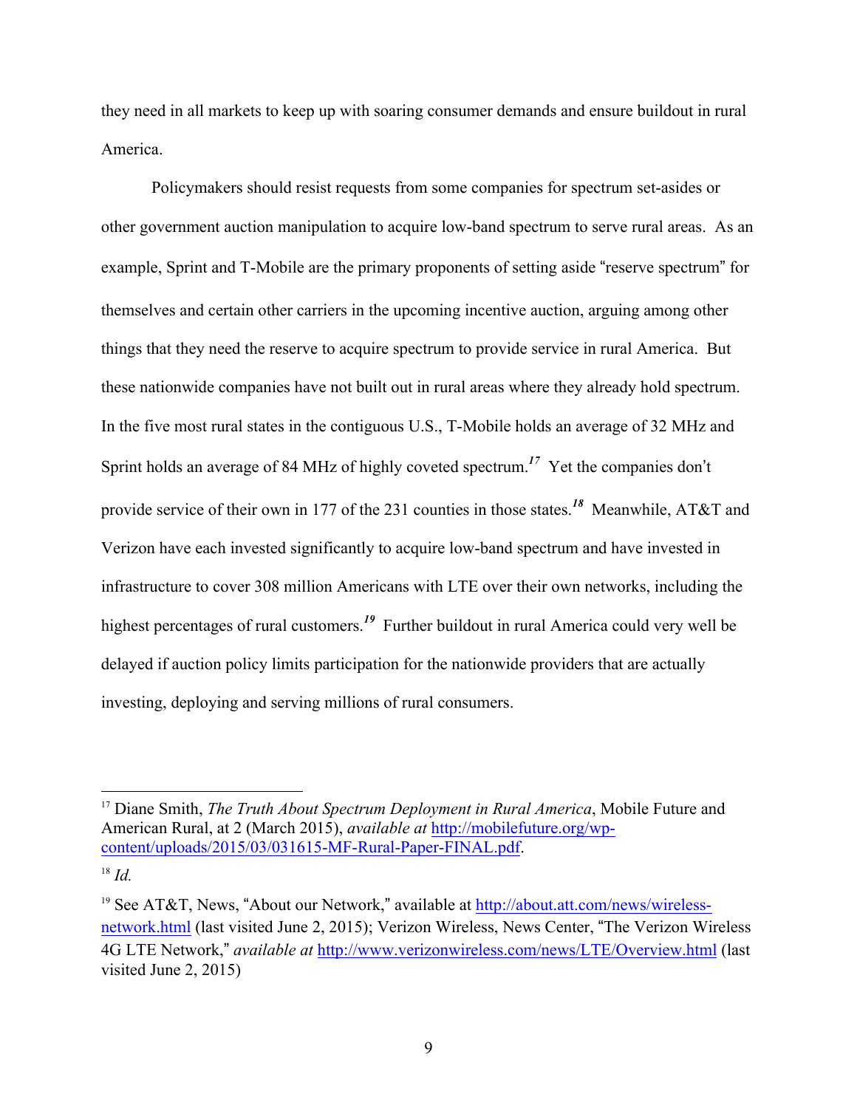they need in all markets to keep up with soaring consumer demands and ensure buildout in rural America.

Policymakers should resist requests from some companies for spectrum set-asides or other government auction manipulation to acquire low-band spectrum to serve rural areas. As an example, Sprint and T-Mobile are the primary proponents of setting aside "reserve spectrum" for themselves and certain other carriers in the upcoming incentive auction, arguing among other things that they need the reserve to acquire spectrum to provide service in rural America. But these nationwide companies have not built out in rural areas where they already hold spectrum. In the five most rural states in the contiguous U.S., T-Mobile holds an average of 32 MHz and Sprint holds an average of 84 MHz of highly coveted spectrum.*<sup>17</sup>* Yet the companies don't provide service of their own in 177 of the 231 counties in those states.*<sup>18</sup>* Meanwhile, AT&T and Verizon have each invested significantly to acquire low-band spectrum and have invested in infrastructure to cover 308 million Americans with LTE over their own networks, including the highest percentages of rural customers.<sup>19</sup> Further buildout in rural America could very well be delayed if auction policy limits participation for the nationwide providers that are actually investing, deploying and serving millions of rural consumers.

 <sup>17</sup> Diane Smith, *The Truth About Spectrum Deployment in Rural America*, Mobile Future and American Rural, at 2 (March 2015), *available at* http://mobilefuture.org/wpcontent/uploads/2015/03/031615-MF-Rural-Paper-FINAL.pdf.

<sup>18</sup> *Id.*

<sup>19</sup> See AT&T, News, "About our Network," available at http://about.att.com/news/wirelessnetwork.html (last visited June 2, 2015); Verizon Wireless, News Center, "The Verizon Wireless 4G LTE Network," *available at* http://www.verizonwireless.com/news/LTE/Overview.html (last visited June 2, 2015)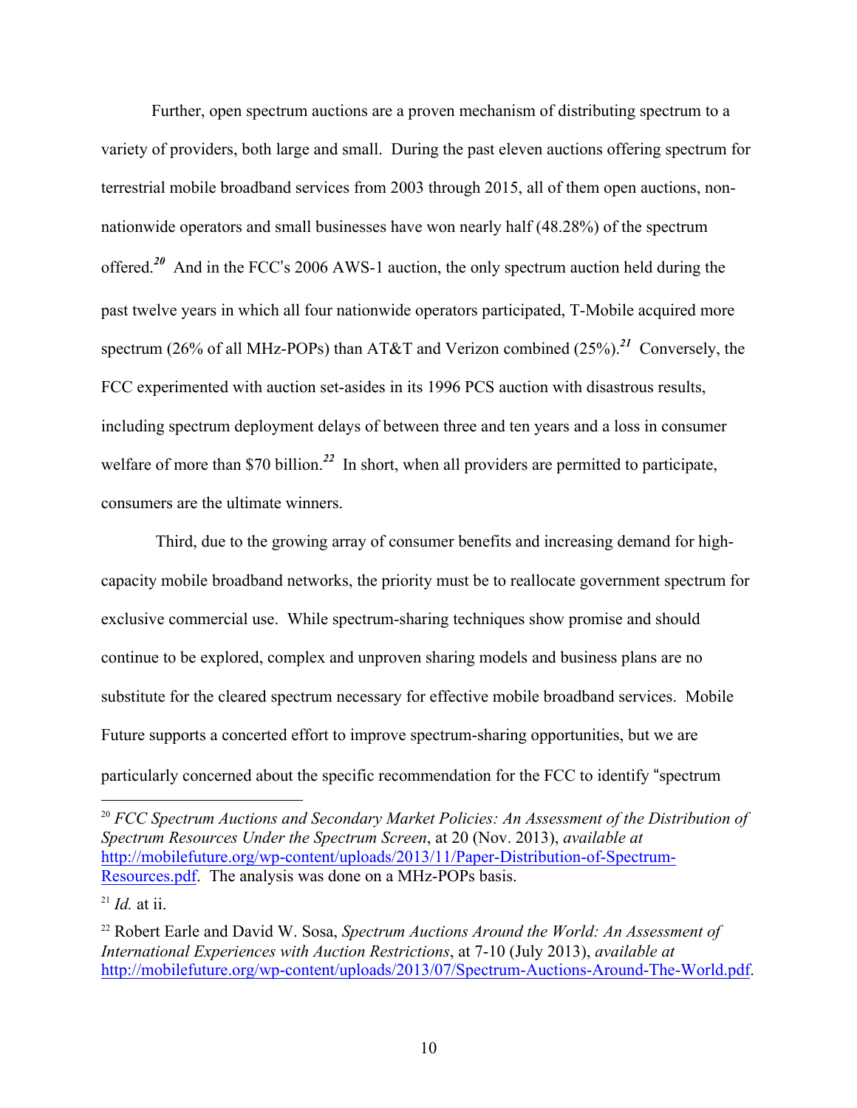Further, open spectrum auctions are a proven mechanism of distributing spectrum to a variety of providers, both large and small. During the past eleven auctions offering spectrum for terrestrial mobile broadband services from 2003 through 2015, all of them open auctions, nonnationwide operators and small businesses have won nearly half (48.28%) of the spectrum offered.*<sup>20</sup>* And in the FCC's 2006 AWS-1 auction, the only spectrum auction held during the past twelve years in which all four nationwide operators participated, T-Mobile acquired more spectrum (26% of all MHz-POPs) than AT&T and Verizon combined (25%).*<sup>21</sup>* Conversely, the FCC experimented with auction set-asides in its 1996 PCS auction with disastrous results, including spectrum deployment delays of between three and ten years and a loss in consumer welfare of more than \$70 billion.<sup>22</sup> In short, when all providers are permitted to participate, consumers are the ultimate winners.

Third, due to the growing array of consumer benefits and increasing demand for highcapacity mobile broadband networks, the priority must be to reallocate government spectrum for exclusive commercial use. While spectrum-sharing techniques show promise and should continue to be explored, complex and unproven sharing models and business plans are no substitute for the cleared spectrum necessary for effective mobile broadband services. Mobile Future supports a concerted effort to improve spectrum-sharing opportunities, but we are particularly concerned about the specific recommendation for the FCC to identify "spectrum

 <sup>20</sup> *FCC Spectrum Auctions and Secondary Market Policies: An Assessment of the Distribution of Spectrum Resources Under the Spectrum Screen*, at 20 (Nov. 2013), *available at* http://mobilefuture.org/wp-content/uploads/2013/11/Paper-Distribution-of-Spectrum-Resources.pdf. The analysis was done on a MHz-POPs basis.

 $^{21}$  *Id.* at ii.

<sup>22</sup> Robert Earle and David W. Sosa, *Spectrum Auctions Around the World: An Assessment of International Experiences with Auction Restrictions*, at 7-10 (July 2013), *available at* http://mobilefuture.org/wp-content/uploads/2013/07/Spectrum-Auctions-Around-The-World.pdf.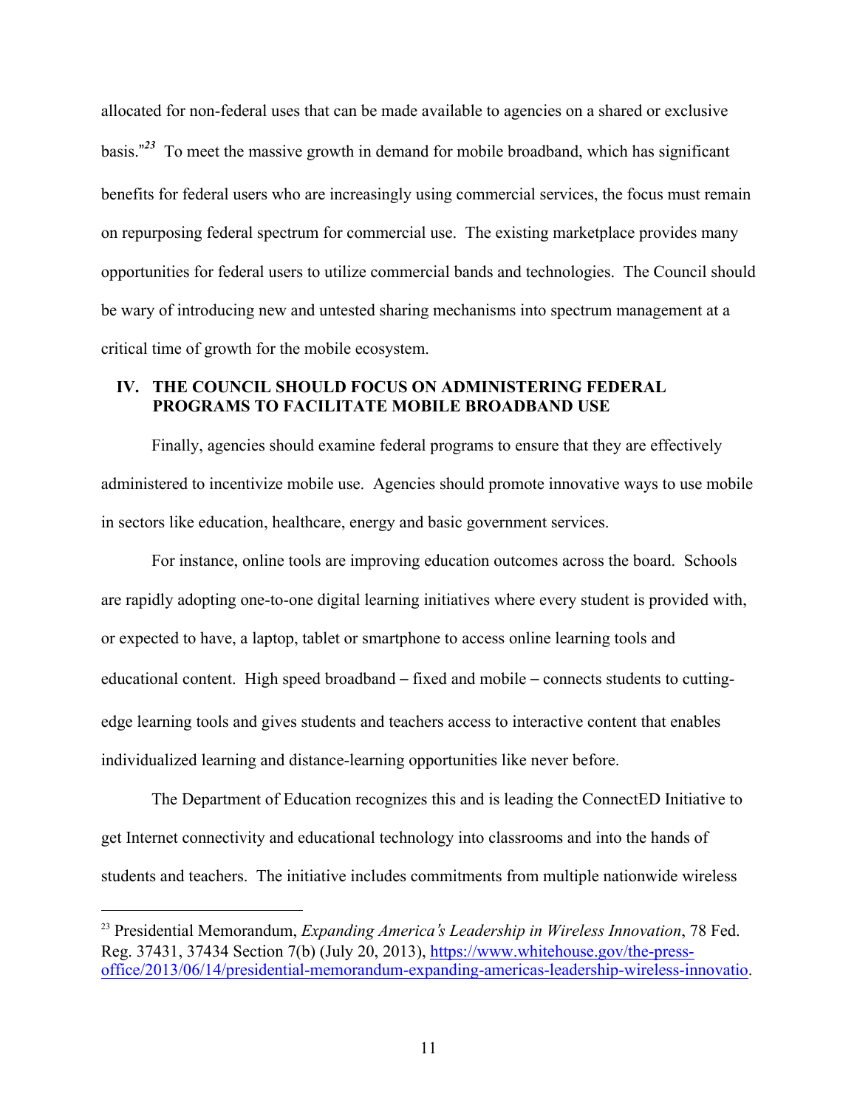allocated for non-federal uses that can be made available to agencies on a shared or exclusive basis." *<sup>23</sup>* To meet the massive growth in demand for mobile broadband, which has significant benefits for federal users who are increasingly using commercial services, the focus must remain on repurposing federal spectrum for commercial use. The existing marketplace provides many opportunities for federal users to utilize commercial bands and technologies. The Council should be wary of introducing new and untested sharing mechanisms into spectrum management at a critical time of growth for the mobile ecosystem.

## **IV. THE COUNCIL SHOULD FOCUS ON ADMINISTERING FEDERAL PROGRAMS TO FACILITATE MOBILE BROADBAND USE**

Finally, agencies should examine federal programs to ensure that they are effectively administered to incentivize mobile use. Agencies should promote innovative ways to use mobile in sectors like education, healthcare, energy and basic government services.

For instance, online tools are improving education outcomes across the board. Schools are rapidly adopting one-to-one digital learning initiatives where every student is provided with, or expected to have, a laptop, tablet or smartphone to access online learning tools and educational content. High speed broadband – fixed and mobile – connects students to cuttingedge learning tools and gives students and teachers access to interactive content that enables individualized learning and distance-learning opportunities like never before.

The Department of Education recognizes this and is leading the ConnectED Initiative to get Internet connectivity and educational technology into classrooms and into the hands of students and teachers. The initiative includes commitments from multiple nationwide wireless

 <sup>23</sup> Presidential Memorandum, *Expanding America*'*<sup>s</sup> Leadership in Wireless Innovation*, <sup>78</sup> Fed. Reg. 37431, 37434 Section 7(b) (July 20, 2013), https://www.whitehouse.gov/the-pressoffice/2013/06/14/presidential-memorandum-expanding-americas-leadership-wireless-innovatio.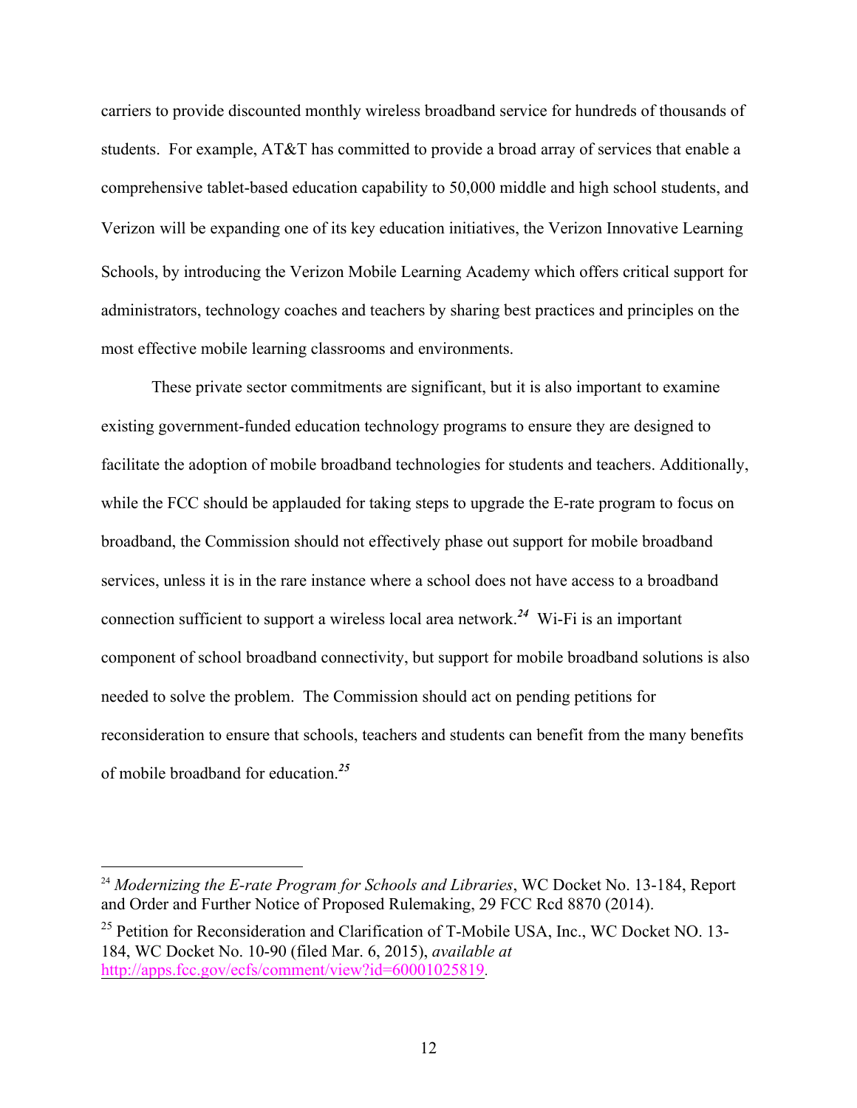carriers to provide discounted monthly wireless broadband service for hundreds of thousands of students. For example, AT&T has committed to provide a broad array of services that enable a comprehensive tablet-based education capability to 50,000 middle and high school students, and Verizon will be expanding one of its key education initiatives, the Verizon Innovative Learning Schools, by introducing the Verizon Mobile Learning Academy which offers critical support for administrators, technology coaches and teachers by sharing best practices and principles on the most effective mobile learning classrooms and environments.

These private sector commitments are significant, but it is also important to examine existing government-funded education technology programs to ensure they are designed to facilitate the adoption of mobile broadband technologies for students and teachers. Additionally, while the FCC should be applauded for taking steps to upgrade the E-rate program to focus on broadband, the Commission should not effectively phase out support for mobile broadband services, unless it is in the rare instance where a school does not have access to a broadband connection sufficient to support a wireless local area network.*<sup>24</sup>* Wi-Fi is an important component of school broadband connectivity, but support for mobile broadband solutions is also needed to solve the problem. The Commission should act on pending petitions for reconsideration to ensure that schools, teachers and students can benefit from the many benefits of mobile broadband for education.*<sup>25</sup>*

 <sup>24</sup> *Modernizing the E-rate Program for Schools and Libraries*, WC Docket No. 13-184, Report and Order and Further Notice of Proposed Rulemaking, 29 FCC Rcd 8870 (2014).

<sup>&</sup>lt;sup>25</sup> Petition for Reconsideration and Clarification of T-Mobile USA, Inc., WC Docket NO. 13-184, WC Docket No. 10-90 (filed Mar. 6, 2015), *available at* http://apps.fcc.gov/ecfs/comment/view?id=60001025819.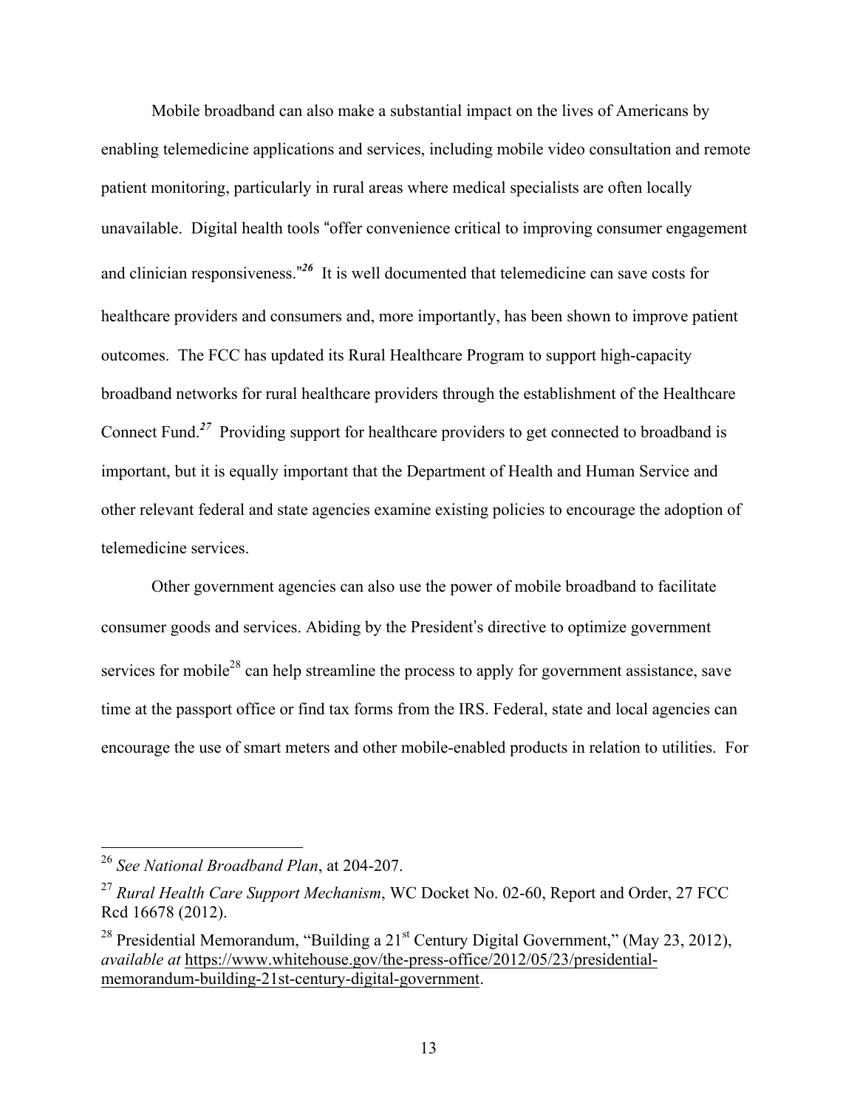Mobile broadband can also make a substantial impact on the lives of Americans by enabling telemedicine applications and services, including mobile video consultation and remote patient monitoring, particularly in rural areas where medical specialists are often locally unavailable. Digital health tools "offer convenience critical to improving consumer engagement and clinician responsiveness." *<sup>26</sup>* It is well documented that telemedicine can save costs for healthcare providers and consumers and, more importantly, has been shown to improve patient outcomes. The FCC has updated its Rural Healthcare Program to support high-capacity broadband networks for rural healthcare providers through the establishment of the Healthcare Connect Fund.*<sup>27</sup>* Providing support for healthcare providers to get connected to broadband is important, but it is equally important that the Department of Health and Human Service and other relevant federal and state agencies examine existing policies to encourage the adoption of telemedicine services.

Other government agencies can also use the power of mobile broadband to facilitate consumer goods and services. Abiding by the President's directive to optimize government services for mobile<sup>28</sup> can help streamline the process to apply for government assistance, save time at the passport office or find tax forms from the IRS. Federal, state and local agencies can encourage the use of smart meters and other mobile-enabled products in relation to utilities. For

 <sup>26</sup> *See National Broadband Plan*, at 204-207.

<sup>27</sup> *Rural Health Care Support Mechanism*, WC Docket No. 02-60, Report and Order, 27 FCC Rcd 16678 (2012).

<sup>&</sup>lt;sup>28</sup> Presidential Memorandum, "Building a  $21<sup>st</sup>$  Century Digital Government," (May 23, 2012), *available at* https://www.whitehouse.gov/the-press-office/2012/05/23/presidentialmemorandum-building-21st-century-digital-government.